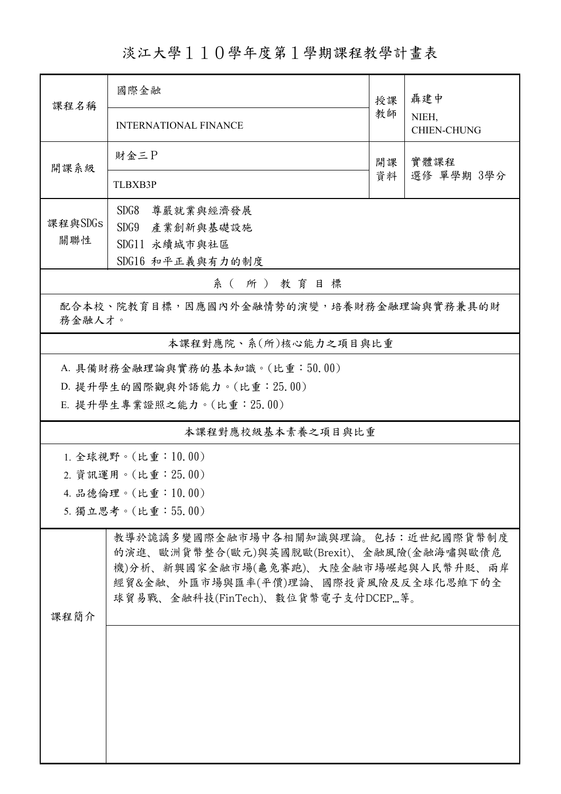淡江大學110學年度第1學期課程教學計畫表

| 課程名稱                                                                                                                                                                                                           | 國際金融                         |          | 聶建中                         |  |  |  |  |  |  |  |
|----------------------------------------------------------------------------------------------------------------------------------------------------------------------------------------------------------------|------------------------------|----------|-----------------------------|--|--|--|--|--|--|--|
|                                                                                                                                                                                                                | <b>INTERNATIONAL FINANCE</b> | 教師       | NIEH,<br><b>CHIEN-CHUNG</b> |  |  |  |  |  |  |  |
| 開課系級                                                                                                                                                                                                           | 財金三P                         | 開課<br>資料 | 實體課程                        |  |  |  |  |  |  |  |
|                                                                                                                                                                                                                | <b>TLBXB3P</b>               |          | 選修 單學期 3學分                  |  |  |  |  |  |  |  |
| SDG8<br>尊嚴就業與經濟發展<br>課程與SDGs<br>SDG9<br>產業創新與基礎設施<br>關聯性<br>SDG11 永續城市與社區<br>SDG16 和平正義與有力的制度                                                                                                                  |                              |          |                             |  |  |  |  |  |  |  |
|                                                                                                                                                                                                                | 系(所)教育目標                     |          |                             |  |  |  |  |  |  |  |
| 配合本校、院教育目標,因應國內外金融情勢的演變,培養財務金融理論與實務兼具的財<br>務金融人才。                                                                                                                                                              |                              |          |                             |  |  |  |  |  |  |  |
|                                                                                                                                                                                                                | 本課程對應院、系(所)核心能力之項目與比重        |          |                             |  |  |  |  |  |  |  |
| A. 具備財務金融理論與實務的基本知識。(比重:50.00)<br>D. 提升學生的國際觀與外語能力。(比重: 25.00)<br>E. 提升學生專業證照之能力。(比重: 25.00)                                                                                                                   |                              |          |                             |  |  |  |  |  |  |  |
| 本課程對應校級基本素養之項目與比重                                                                                                                                                                                              |                              |          |                             |  |  |  |  |  |  |  |
| 1. 全球視野。(比重:10.00)<br>2. 資訊運用。(比重: 25.00)<br>4. 品德倫理。(比重:10.00)<br>5. 獨立思考。(比重:55.00)                                                                                                                          |                              |          |                             |  |  |  |  |  |  |  |
| 教導於詭譎多變國際金融市場中各相關知識與理論。包括:近世紀國際貨幣制度<br>的演進、歐洲貨幣整合(歐元)與英國脫歐(Brexit)、金融風險(金融海嘯與歐債危<br>機)分析、新興國家金融市場(龜兔賽跑)、大陸金融市場崛起與人民幣升貶、兩岸<br>經貿&金融、外匯市場與匯率(平價)理論、國際投資風險及反全球化思維下的全<br>球貿易戰、金融科技(FinTech)、數位貨幣電子支付DCEP等。<br>課程簡介 |                              |          |                             |  |  |  |  |  |  |  |
|                                                                                                                                                                                                                |                              |          |                             |  |  |  |  |  |  |  |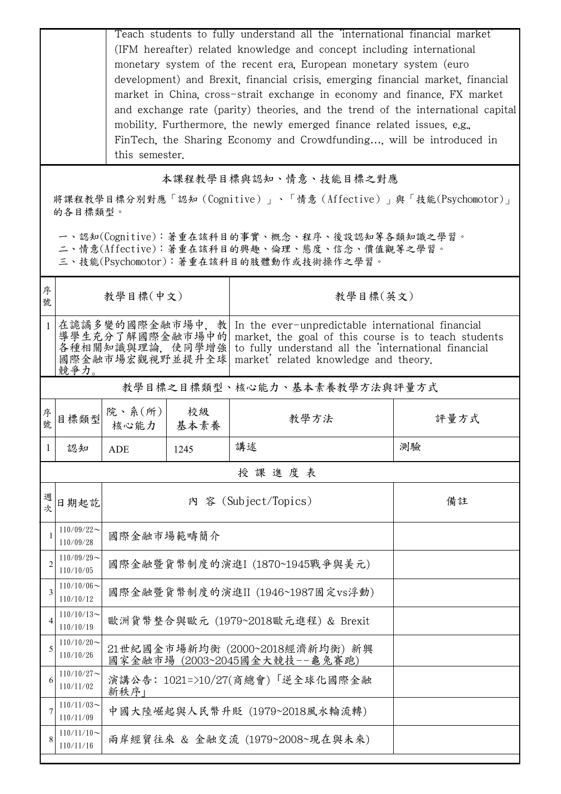|                                                                                                                                        | Teach students to fully understand all the international financial market<br>(IFM hereafter) related knowledge and concept including international<br>monetary system of the recent era, European monetary system (euro<br>development) and Brexit, financial crisis, emerging financial market, financial<br>market in China, cross-strait exchange in economy and finance, FX market<br>and exchange rate (parity) theories, and the trend of the international capital<br>mobility. Furthermore, the newly emerged finance related issues, e.g.,<br>FinTech, the Sharing Economy and Crowdfunding, will be introduced in<br>this semester. |                                                                                                                                                                                                                                                                                           |                                                                  |                                 |      |  |  |  |  |
|----------------------------------------------------------------------------------------------------------------------------------------|-----------------------------------------------------------------------------------------------------------------------------------------------------------------------------------------------------------------------------------------------------------------------------------------------------------------------------------------------------------------------------------------------------------------------------------------------------------------------------------------------------------------------------------------------------------------------------------------------------------------------------------------------|-------------------------------------------------------------------------------------------------------------------------------------------------------------------------------------------------------------------------------------------------------------------------------------------|------------------------------------------------------------------|---------------------------------|------|--|--|--|--|
|                                                                                                                                        | 本課程教學目標與認知、情意、技能目標之對應                                                                                                                                                                                                                                                                                                                                                                                                                                                                                                                                                                                                                         |                                                                                                                                                                                                                                                                                           |                                                                  |                                 |      |  |  |  |  |
| 將課程教學目標分別對應「認知 (Cognitive)」、「情意 (Affective)」與「技能(Psychomotor)」<br>的各目標類型。                                                              |                                                                                                                                                                                                                                                                                                                                                                                                                                                                                                                                                                                                                                               |                                                                                                                                                                                                                                                                                           |                                                                  |                                 |      |  |  |  |  |
| 一、認知(Cognitive):著重在該科目的事實、概念、程序、後設認知等各類知識之學習。<br>二、情意(Affective):著重在該科目的興趣、倫理、態度、信念、價值觀等之學習。<br>三、技能(Psychomotor):著重在該科目的肢體動作或技術操作之學習。 |                                                                                                                                                                                                                                                                                                                                                                                                                                                                                                                                                                                                                                               |                                                                                                                                                                                                                                                                                           |                                                                  |                                 |      |  |  |  |  |
| 序<br>號                                                                                                                                 |                                                                                                                                                                                                                                                                                                                                                                                                                                                                                                                                                                                                                                               | 教學目標(中文)<br>教學目標(英文)                                                                                                                                                                                                                                                                      |                                                                  |                                 |      |  |  |  |  |
|                                                                                                                                        | 競爭力。                                                                                                                                                                                                                                                                                                                                                                                                                                                                                                                                                                                                                                          | 1 在詭譎多變的國際金融市場中,教<br>- 尊學生充分了解國際金融市場中的<br>In the ever-unpredictable international financial<br>market, the goal of this course is to teach students<br>各種相關知識與理論,使同學增強<br>to fully understand all the 'international financial<br>國際金融市場宏觀視野並提升全球<br>market related knowledge and theory. |                                                                  |                                 |      |  |  |  |  |
|                                                                                                                                        |                                                                                                                                                                                                                                                                                                                                                                                                                                                                                                                                                                                                                                               |                                                                                                                                                                                                                                                                                           |                                                                  | 教學目標之目標類型、核心能力、基本素養教學方法與評量方式    |      |  |  |  |  |
| 序號                                                                                                                                     |                                                                                                                                                                                                                                                                                                                                                                                                                                                                                                                                                                                                                                               | <br>目標類型     余(所) <br>核心能力                                                                                                                                                                                                                                                                | 校級<br>基本素養                                                       | 教學方法                            | 評量方式 |  |  |  |  |
| $\mathbf{1}$                                                                                                                           | 認知                                                                                                                                                                                                                                                                                                                                                                                                                                                                                                                                                                                                                                            | ADE                                                                                                                                                                                                                                                                                       | 1245                                                             | 講述                              | 測驗   |  |  |  |  |
|                                                                                                                                        |                                                                                                                                                                                                                                                                                                                                                                                                                                                                                                                                                                                                                                               |                                                                                                                                                                                                                                                                                           |                                                                  | 授課進度表                           |      |  |  |  |  |
| 週次                                                                                                                                     | 日期起訖                                                                                                                                                                                                                                                                                                                                                                                                                                                                                                                                                                                                                                          | 內 容 (Subject/Topics)                                                                                                                                                                                                                                                                      |                                                                  |                                 | 備註   |  |  |  |  |
| -1                                                                                                                                     | $110/09/22$ ~<br>110/09/28                                                                                                                                                                                                                                                                                                                                                                                                                                                                                                                                                                                                                    | 國際金融市場範疇簡介                                                                                                                                                                                                                                                                                |                                                                  |                                 |      |  |  |  |  |
| $\overline{2}$                                                                                                                         | $110/09/29$ ~<br>110/10/05                                                                                                                                                                                                                                                                                                                                                                                                                                                                                                                                                                                                                    |                                                                                                                                                                                                                                                                                           | 國際金融暨貨幣制度的演進I (1870~1945戰爭與美元)                                   |                                 |      |  |  |  |  |
| 3                                                                                                                                      | $110/10/06 \sim$<br>110/10/12                                                                                                                                                                                                                                                                                                                                                                                                                                                                                                                                                                                                                 | 國際金融暨貨幣制度的演進II (1946~1987固定vs浮動)                                                                                                                                                                                                                                                          |                                                                  |                                 |      |  |  |  |  |
| 4                                                                                                                                      | $110/10/13$ ~<br>110/10/19                                                                                                                                                                                                                                                                                                                                                                                                                                                                                                                                                                                                                    | 歐洲貨幣整合與歐元 (1979~2018歐元進程) & Brexit                                                                                                                                                                                                                                                        |                                                                  |                                 |      |  |  |  |  |
| 5                                                                                                                                      | $110/10/20$ ~<br>110/10/26                                                                                                                                                                                                                                                                                                                                                                                                                                                                                                                                                                                                                    |                                                                                                                                                                                                                                                                                           | 21世紀國金市場新均衡 (2000~2018經濟新均衡) 新興<br>國家金融市場 (2003~2045國金大競技--龜兔賽跑) |                                 |      |  |  |  |  |
| 6                                                                                                                                      | $110/10/27$ ~<br>110/11/02                                                                                                                                                                                                                                                                                                                                                                                                                                                                                                                                                                                                                    | 演講公告: 1021=>10/27(商總會)「逆全球化國際金融<br>新秩序                                                                                                                                                                                                                                                    |                                                                  |                                 |      |  |  |  |  |
| 7                                                                                                                                      | $110/11/03$ ~<br>110/11/09                                                                                                                                                                                                                                                                                                                                                                                                                                                                                                                                                                                                                    | 中國大陸崛起與人民幣升貶 (1979~2018風水輪流轉)                                                                                                                                                                                                                                                             |                                                                  |                                 |      |  |  |  |  |
| 8                                                                                                                                      | $110/11/10$ ~<br>110/11/16                                                                                                                                                                                                                                                                                                                                                                                                                                                                                                                                                                                                                    |                                                                                                                                                                                                                                                                                           |                                                                  | 兩岸經貿往來 & 金融交流 (1979~2008~現在與未來) |      |  |  |  |  |